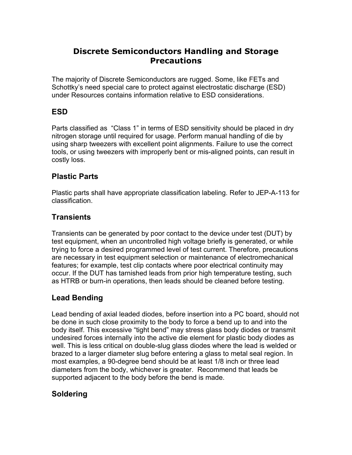# **Discrete Semiconductors Handling and Storage Precautions**

The majority of Discrete Semiconductors are rugged. Some, like FETs and Schottky's need special care to protect against electrostatic discharge (ESD) under Resources contains information relative to ESD considerations.

## **ESD**

Parts classified as "Class 1" in terms of ESD sensitivity should be placed in dry nitrogen storage until required for usage. Perform manual handling of die by using sharp tweezers with excellent point alignments. Failure to use the correct tools, or using tweezers with improperly bent or mis-aligned points, can result in costly loss.

### **Plastic Parts**

Plastic parts shall have appropriate classification labeling. Refer to JEP-A-113 for classification.

### **Transients**

Transients can be generated by poor contact to the device under test (DUT) by test equipment, when an uncontrolled high voltage briefly is generated, or while trying to force a desired programmed level of test current. Therefore, precautions are necessary in test equipment selection or maintenance of electromechanical features; for example, test clip contacts where poor electrical continuity may occur. If the DUT has tarnished leads from prior high temperature testing, such as HTRB or burn-in operations, then leads should be cleaned before testing.

### **Lead Bending**

Lead bending of axial leaded diodes, before insertion into a PC board, should not be done in such close proximity to the body to force a bend up to and into the body itself. This excessive "tight bend" may stress glass body diodes or transmit undesired forces internally into the active die element for plastic body diodes as well. This is less critical on double-slug glass diodes where the lead is welded or brazed to a larger diameter slug before entering a glass to metal seal region. In most examples, a 90-degree bend should be at least 1/8 inch or three lead diameters from the body, whichever is greater. Recommend that leads be supported adjacent to the body before the bend is made.

### **Soldering**